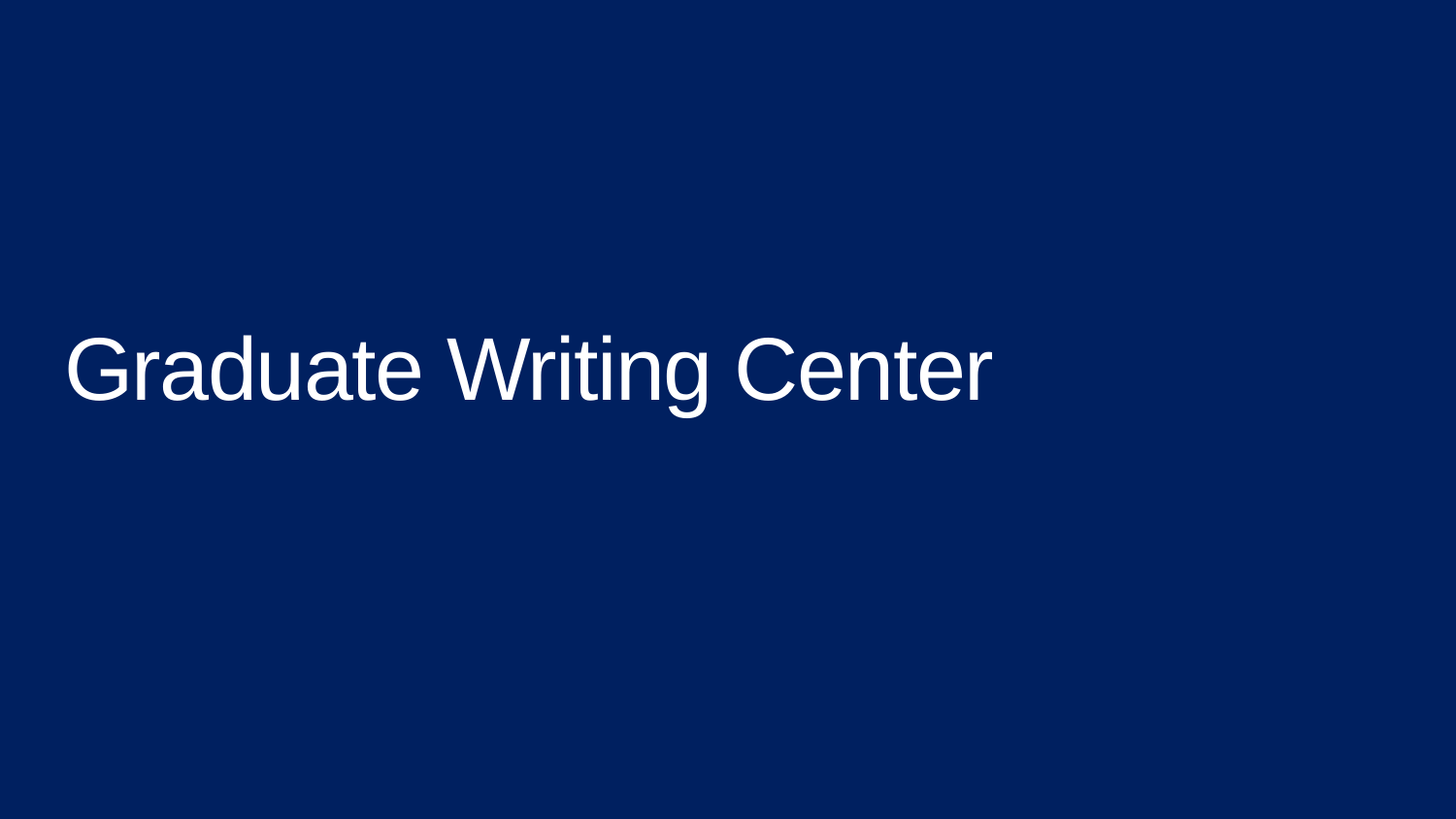# Graduate Writing Center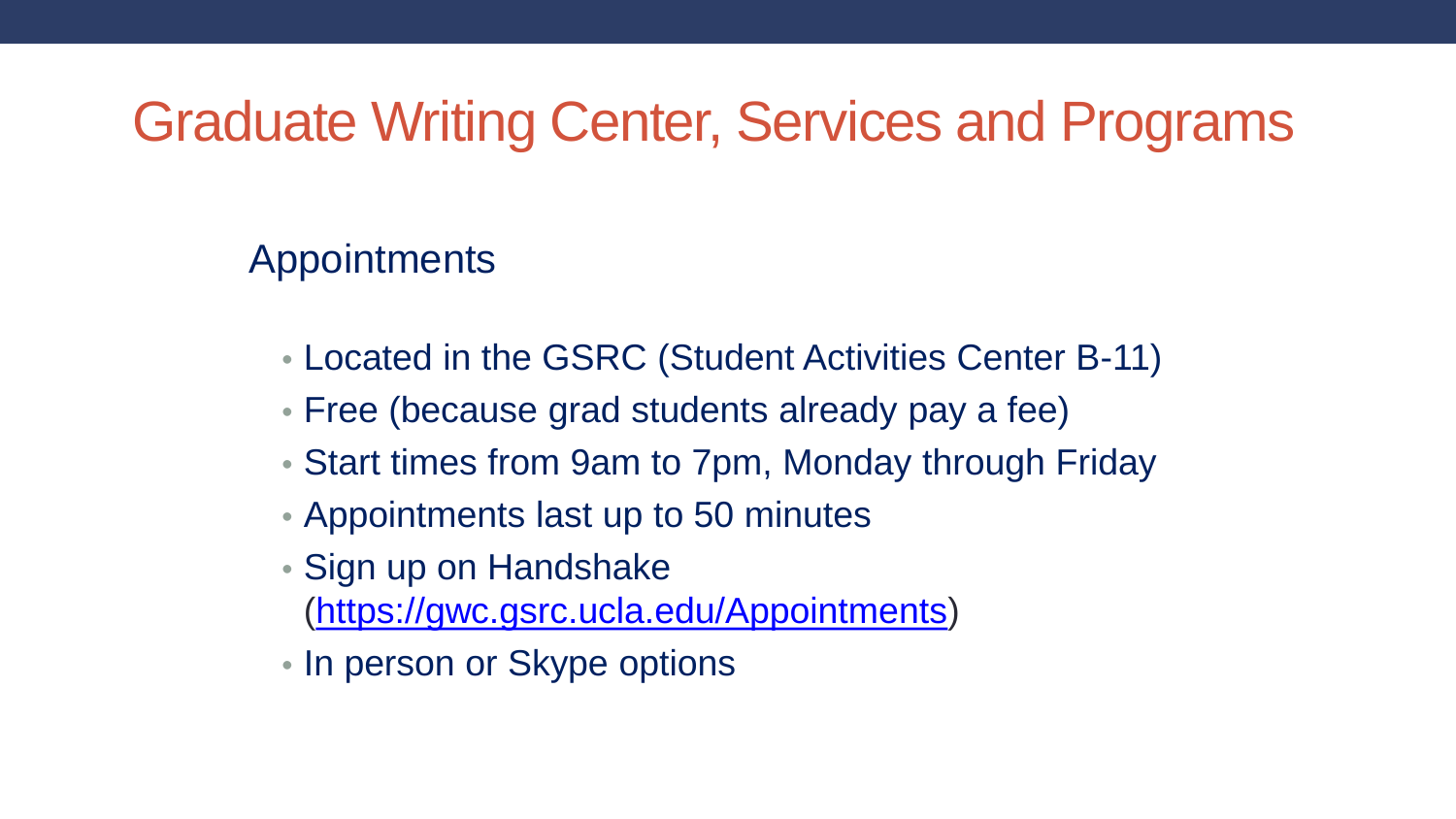#### Appointments

- Located in the GSRC (Student Activities Center B-11)
- Free (because grad students already pay a fee)
- Start times from 9am to 7pm, Monday through Friday
- Appointments last up to 50 minutes
- Sign up on Handshake
	- [\(https://gwc.gsrc.ucla.edu/Appointments\)](https://gwc.gsrc.ucla.edu/Appointments)
- In person or Skype options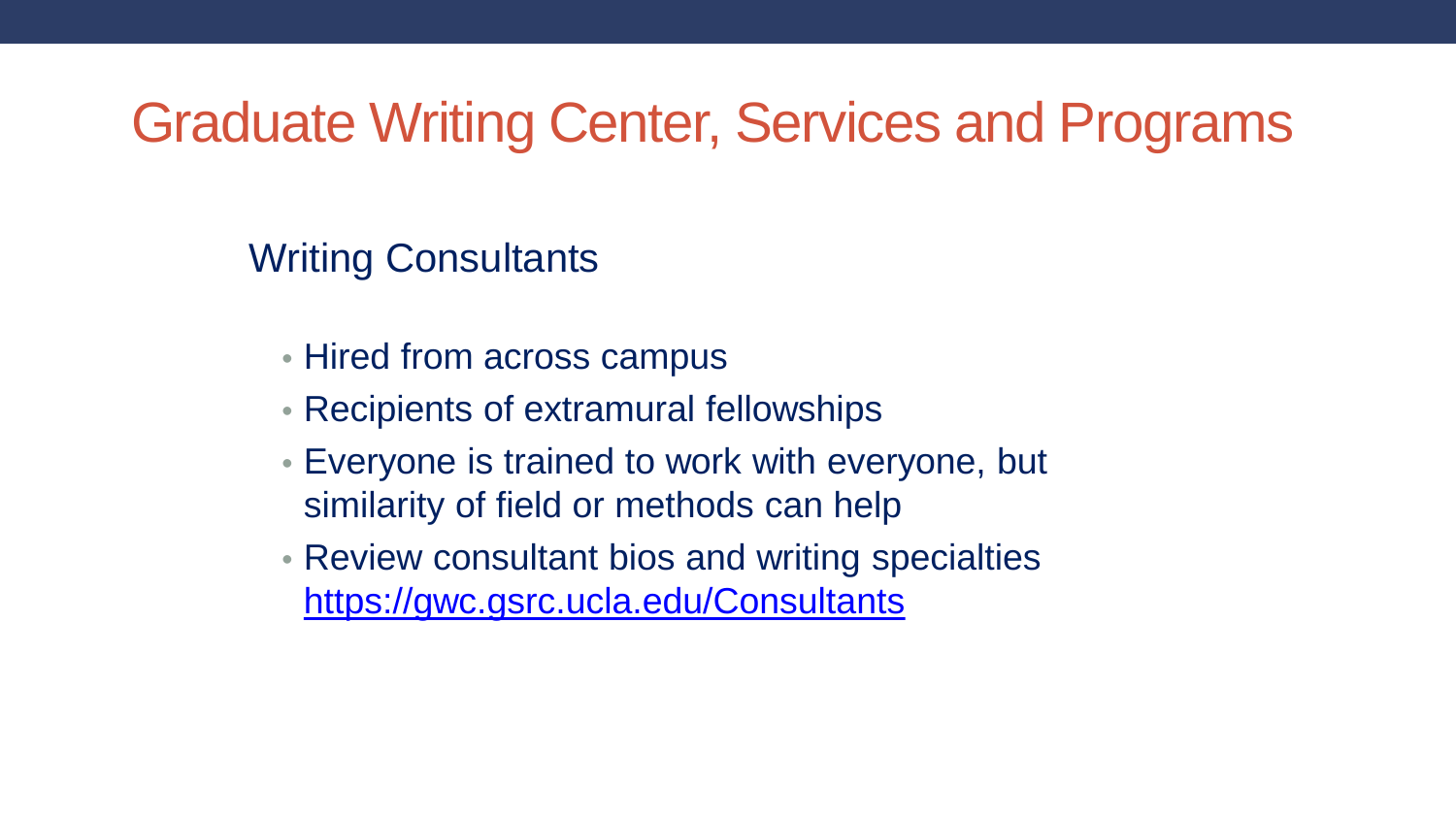Writing Consultants

- Hired from across campus
- Recipients of extramural fellowships
- Everyone is trained to work with everyone, but similarity of field or methods can help
- Review consultant bios and writing specialties <https://gwc.gsrc.ucla.edu/Consultants>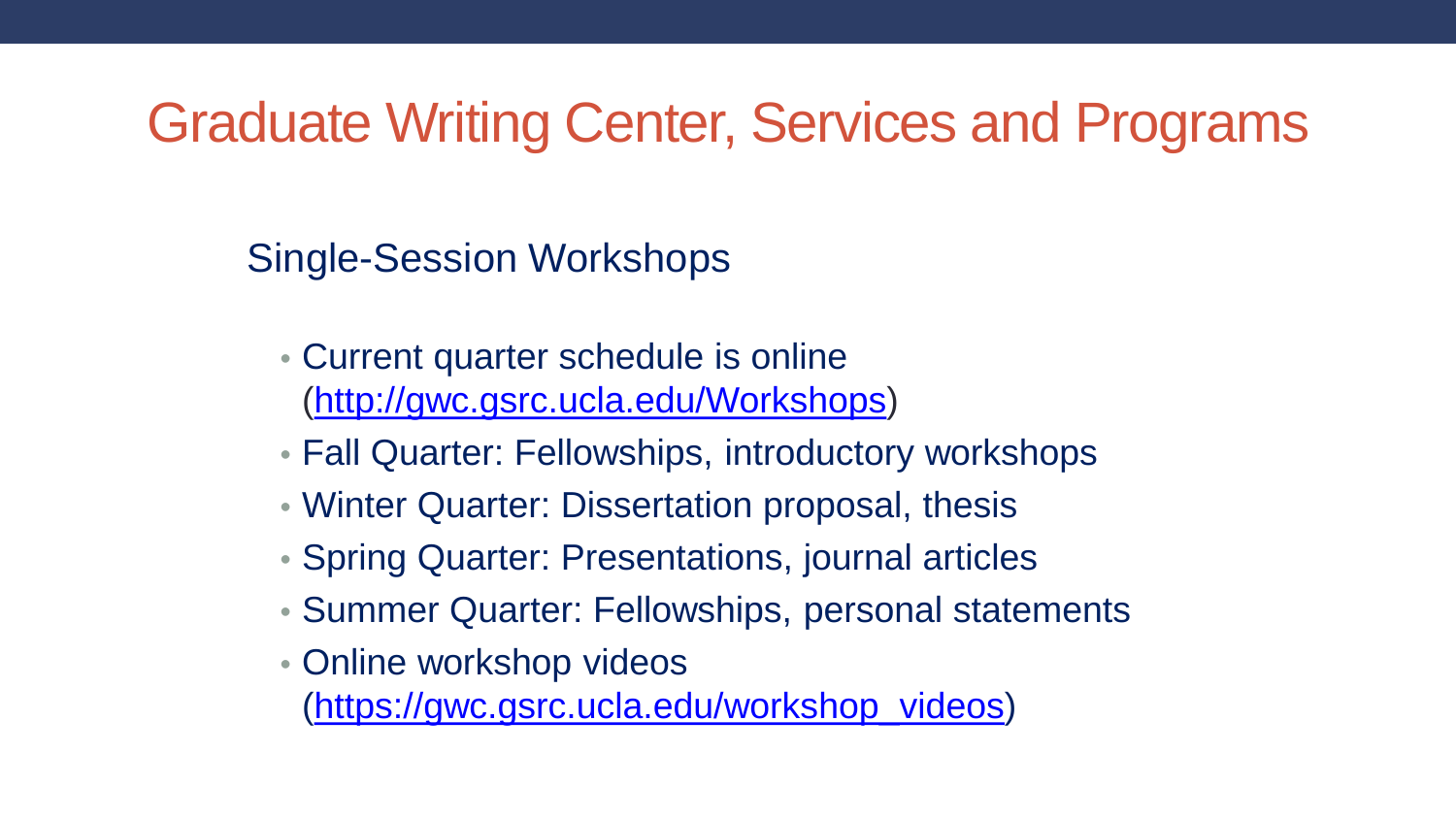Single-Session Workshops

- Current quarter schedule is online [\(http://gwc.gsrc.ucla.edu/Workshops](http://gwc.gsrc.ucla.edu/Workshops))
- Fall Quarter: Fellowships, introductory workshops
- Winter Quarter: Dissertation proposal, thesis
- Spring Quarter: Presentations, journal articles
- Summer Quarter: Fellowships, personal statements
- Online workshop videos

[\(https://gwc.gsrc.ucla.edu/workshop\\_videos\)](https://gwc.gsrc.ucla.edu/workshop_videos)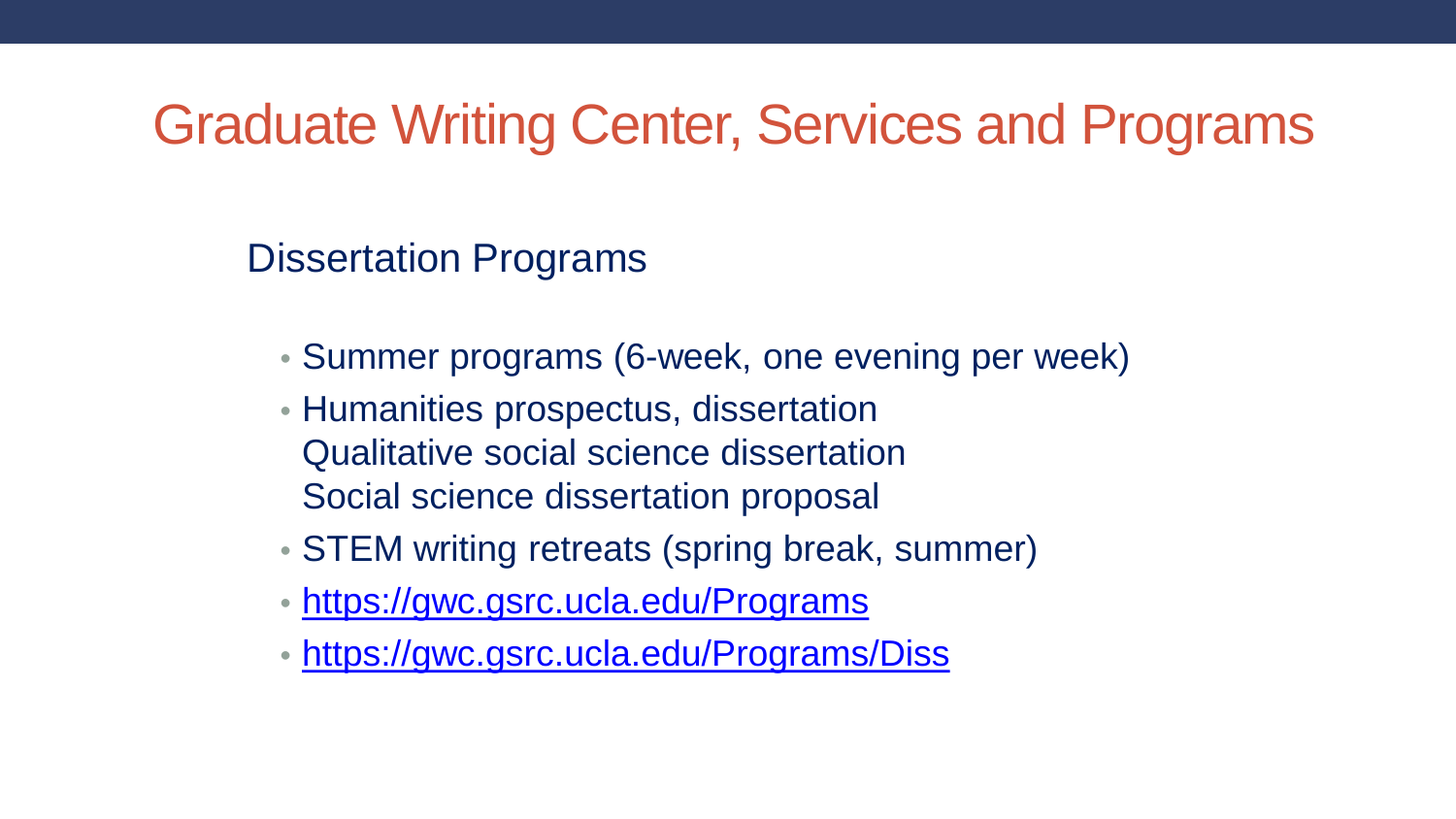Dissertation Programs

- Summer programs (6-week, one evening per week)
- Humanities prospectus, dissertation Qualitative social science dissertation Social science dissertation proposal
- STEM writing retreats (spring break, summer)
- <https://gwc.gsrc.ucla.edu/Programs>
- <https://gwc.gsrc.ucla.edu/Programs/Diss>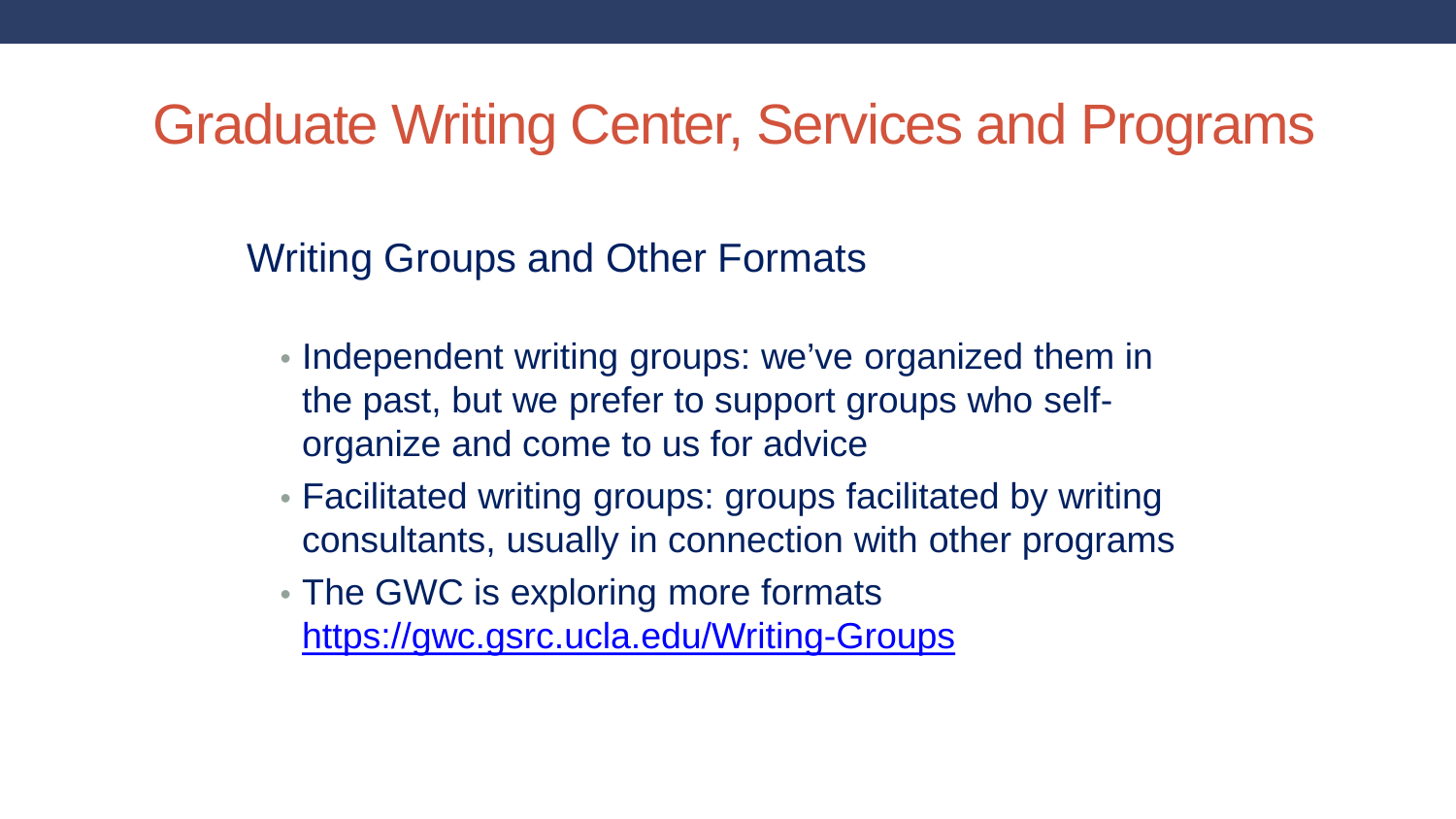Writing Groups and Other Formats

- Independent writing groups: we've organized them in the past, but we prefer to support groups who selforganize and come to us for advice
- Facilitated writing groups: groups facilitated by writing consultants, usually in connection with other programs
- The GWC is exploring more formats <https://gwc.gsrc.ucla.edu/Writing-Groups>